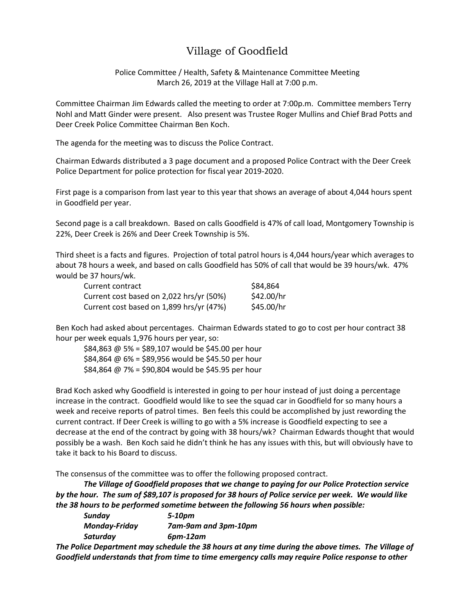## Village of Goodfield

Police Committee / Health, Safety & Maintenance Committee Meeting March 26, 2019 at the Village Hall at 7:00 p.m.

Committee Chairman Jim Edwards called the meeting to order at 7:00p.m. Committee members Terry Nohl and Matt Ginder were present. Also present was Trustee Roger Mullins and Chief Brad Potts and Deer Creek Police Committee Chairman Ben Koch.

The agenda for the meeting was to discuss the Police Contract.

Chairman Edwards distributed a 3 page document and a proposed Police Contract with the Deer Creek Police Department for police protection for fiscal year 2019-2020.

First page is a comparison from last year to this year that shows an average of about 4,044 hours spent in Goodfield per year.

Second page is a call breakdown. Based on calls Goodfield is 47% of call load, Montgomery Township is 22%, Deer Creek is 26% and Deer Creek Township is 5%.

Third sheet is a facts and figures. Projection of total patrol hours is 4,044 hours/year which averages to about 78 hours a week, and based on calls Goodfield has 50% of call that would be 39 hours/wk. 47% would be 37 hours/wk.

| Current contract                         | \$84,864   |
|------------------------------------------|------------|
| Current cost based on 2,022 hrs/yr (50%) | \$42.00/hr |
| Current cost based on 1,899 hrs/yr (47%) | \$45.00/hr |

Ben Koch had asked about percentages. Chairman Edwards stated to go to cost per hour contract 38 hour per week equals 1,976 hours per year, so:

\$84,863  $\omega$  5% = \$89,107 would be \$45.00 per hour \$84,864  $\omega$  6% = \$89,956 would be \$45.50 per hour  $$84,864 \text{ @ } 7\% = $90,804 \text{ would be $45.95 per hour}$ 

Brad Koch asked why Goodfield is interested in going to per hour instead of just doing a percentage increase in the contract. Goodfield would like to see the squad car in Goodfield for so many hours a week and receive reports of patrol times. Ben feels this could be accomplished by just rewording the current contract. If Deer Creek is willing to go with a 5% increase is Goodfield expecting to see a decrease at the end of the contract by going with 38 hours/wk? Chairman Edwards thought that would possibly be a wash. Ben Koch said he didn't think he has any issues with this, but will obviously have to take it back to his Board to discuss.

The consensus of the committee was to offer the following proposed contract.

*The Village of Goodfield proposes that we change to paying for our Police Protection service by the hour. The sum of \$89,107 is proposed for 38 hours of Police service per week. We would like the 38 hours to be performed sometime between the following 56 hours when possible:*

| Sunday               | 5-10pm                                                                                                                                                                                                                          |
|----------------------|---------------------------------------------------------------------------------------------------------------------------------------------------------------------------------------------------------------------------------|
| <b>Monday-Friday</b> | 7am-9am and 3pm-10pm                                                                                                                                                                                                            |
| Saturday             | $6pm-12am$                                                                                                                                                                                                                      |
|                      | . If $\sim$ . If it is a contract to the contract of the contract of the contract of the contract of the contract of the contract of the contract of the contract of the contract of the contract of the contract of the contra |

*The Police Department may schedule the 38 hours at any time during the above times. The Village of Goodfield understands that from time to time emergency calls may require Police response to other*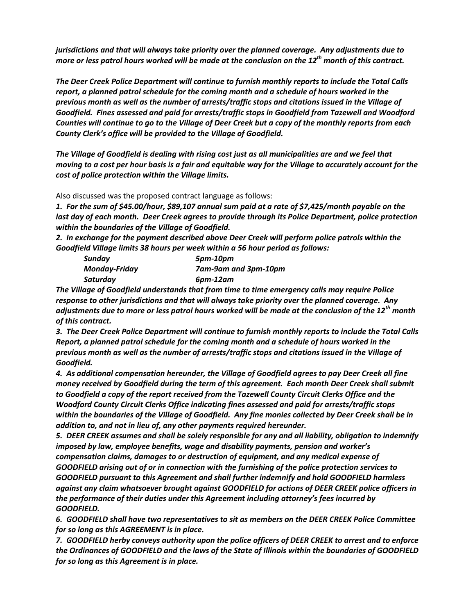*jurisdictions and that will always take priority over the planned coverage. Any adjustments due to more or less patrol hours worked will be made at the conclusion on the 12th month of this contract.*

*The Deer Creek Police Department will continue to furnish monthly reports to include the Total Calls report, a planned patrol schedule for the coming month and a schedule of hours worked in the previous month as well as the number of arrests/traffic stops and citations issued in the Village of Goodfield. Fines assessed and paid for arrests/traffic stops in Goodfield from Tazewell and Woodford Counties will continue to go to the Village of Deer Creek but a copy of the monthly reports from each County Clerk's office will be provided to the Village of Goodfield.*

*The Village of Goodfield is dealing with rising cost just as all municipalities are and we feel that moving to a cost per hour basis is a fair and equitable way for the Village to accurately account for the cost of police protection within the Village limits.*

Also discussed was the proposed contract language as follows:

*1. For the sum of \$45.00/hour, \$89,107 annual sum paid at a rate of \$7,425/month payable on the last day of each month. Deer Creek agrees to provide through its Police Department, police protection within the boundaries of the Village of Goodfield.*

*2. In exchange for the payment described above Deer Creek will perform police patrols within the Goodfield Village limits 38 hours per week within a 56 hour period as follows:*

| Sunday               | 5pm-10pm             |
|----------------------|----------------------|
| <b>Monday-Friday</b> | 7am-9am and 3pm-10pm |
| Saturday             | 6pm-12am             |

*The Village of Goodfield understands that from time to time emergency calls may require Police response to other jurisdictions and that will always take priority over the planned coverage. Any adjustments due to more or less patrol hours worked will be made at the conclusion of the 12th month of this contract.*

*3. The Deer Creek Police Department will continue to furnish monthly reports to include the Total Calls Report, a planned patrol schedule for the coming month and a schedule of hours worked in the previous month as well as the number of arrests/traffic stops and citations issued in the Village of Goodfield.*

*4. As additional compensation hereunder, the Village of Goodfield agrees to pay Deer Creek all fine money received by Goodfield during the term of this agreement. Each month Deer Creek shall submit to Goodfield a copy of the report received from the Tazewell County Circuit Clerks Office and the Woodford County Circuit Clerks Office indicating fines assessed and paid for arrests/traffic stops within the boundaries of the Village of Goodfield. Any fine monies collected by Deer Creek shall be in addition to, and not in lieu of, any other payments required hereunder.*

*5. DEER CREEK assumes and shall be solely responsible for any and all liability, obligation to indemnify imposed by law, employee benefits, wage and disability payments, pension and worker's compensation claims, damages to or destruction of equipment, and any medical expense of GOODFIELD arising out of or in connection with the furnishing of the police protection services to GOODFIELD pursuant to this Agreement and shall further indemnify and hold GOODFIELD harmless against any claim whatsoever brought against GOODFIELD for actions of DEER CREEK police officers in the performance of their duties under this Agreement including attorney's fees incurred by GOODFIELD.*

*6. GOODFIELD shall have two representatives to sit as members on the DEER CREEK Police Committee for so long as this AGREEMENT is in place.*

*7. GOODFIELD herby conveys authority upon the police officers of DEER CREEK to arrest and to enforce the Ordinances of GOODFIELD and the laws of the State of Illinois within the boundaries of GOODFIELD for so long as this Agreement is in place.*